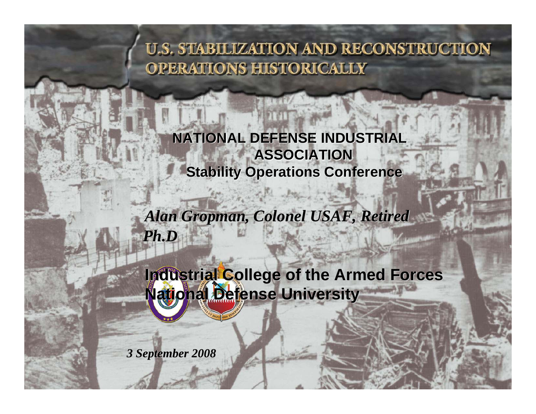**NATIONAL DEFENSE INDUSTRIAL NATIONAL DEFENSE INDUSTRIAL ASSOCIATIONASSOCIATION Stability Operations Conference Stability Operations Conference**

*Alan Gropman, Colonel USAF, Retired*<br>Ph.D *Ph.D*

**Industrial College of the Armed Forces**<br>National Defense University **National Defense University**

*3 September 2008 3 September 2008 3*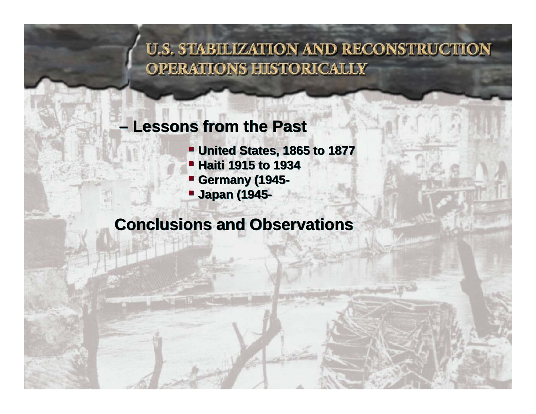### **– Lessons from the Past –Lessons from the Past**

- **United States, 1865 to 1877 United States, 1865 to 1877**
- **Haiti 1915 to 1934 Haiti 1915 to 1934**
- **Germany (1945- Germany (1945-**
- J **Japan (1945- Japan (1945-**

## **Conclusions and Observations Conclusions and Observations**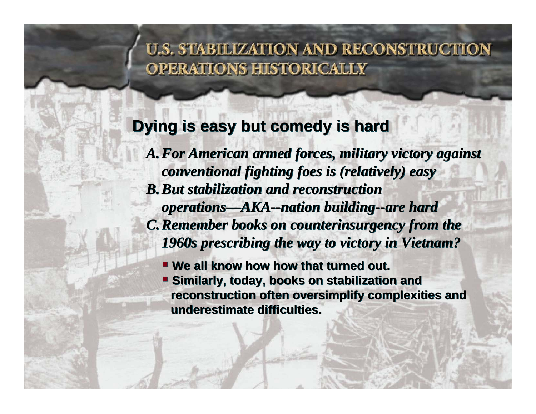### **Dying is easy but comedy is hard Dying is easy but comedy is hard**

*A.For American armed forces, military victory against A.For American armed forces, military victory against conventional fighting foes is (relatively) easy conventional fighting foes is (relatively) easy B.But stabilization and reconstruction B.But stabilization and reconstruction operations—AKA--nation building--are hard operations—AKA--nation building--are hard C.Remember books on counterinsurgency from the C.Remember books on counterinsurgency from the 1960s prescribing the way to victory in Vietnam? 1960s prescribing the way to victory in Vietnam?*

- **We all know how how that turned out. We all know how how that turned out.**
- **Similarly, today, books on stabilization and Similarly, today, books on stabilization and reconstruction often oversimplify complexities and reconstruction often oversimplify complexities and underestimate difficulties. underestimate difficulties.**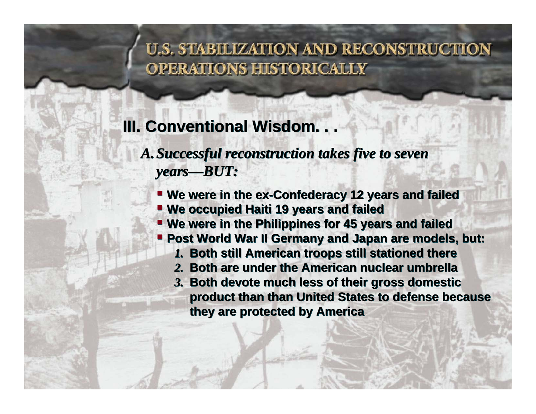# **III. Conventional Wisdom. . . III. Conventional Wisdom. . .**

*A.Successful reconstruction takes five to seven A.Successful reconstruction takes five to seven years—BUT: years—BUT:*

- **We were in the ex-Confederacy 12 years and failed We were in the ex-Confederacy 12 years and failed**
- **We occupied Haiti 19 years and failed We occupied Haiti 19 years and failed**
- **We were in the Philippines for 45 years and failed We in the Philippines for 45 years and failed**
- **Post World War II Germany and Japan are models, but: Post World War II Germany and Japan are models, but:**
	- *1.* **Both still American troops still stationed there** *1.* **Both still American troops still stationed there**
	- *2.* **Both are under the American nuclear umbrella***2.* **Both are under the American nuclear umbrella**
	- *3.* **Both devote much less of their gross domestic**  *3.* **Both devote much less of their gross domestic product than than United States to defense because product than than United States to defense because they are protected by America they are protected by America**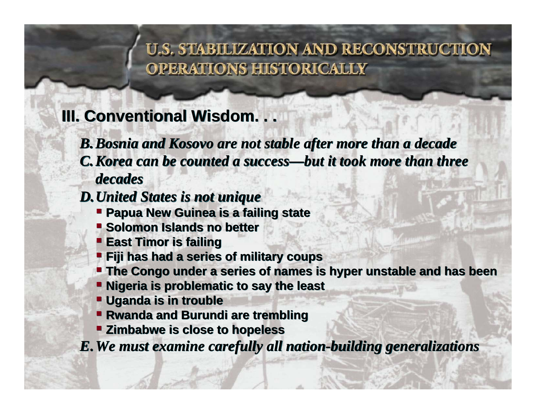# **III. Conventional Wisdom. . . III. Conventional Wisdom. . .**

*B.Bosnia and Kosovo are not stable after more than a decade B.Bosnia and Kosovo are not stable after more than a decade C.Korea can be counted a success—but it took more than three C.Korea can be counted a success—but it took more than three decadesdecades*

#### *D.United States is not unique D.United States is not unique*

- **Papua New Guinea is a failing state Papua New Guinea is a failing state**
- **Solomon Islands no better Solomon Islands no better**
- **East Timor is failing East Timor is failing**
- **Fiji has had a series of military coups**
- **The Congo under a series of names is hyper unstable and has been The Congo under a series of is hyper unstable and has been**
- **Nigeria is problematic to say the least Nigeria is problematic to say the least**
- **Uganda is in trouble Uganda is in trouble**
- **Rwanda and Burundi are trembling Rwanda and Burundi are trembling**
- **Zimbabwe is close to hopeless Zimbabwe is close to hopeless**

*E***.***We must examine carefully all nation-building generalizations E***.***We must examine carefully all nation-building generalizations*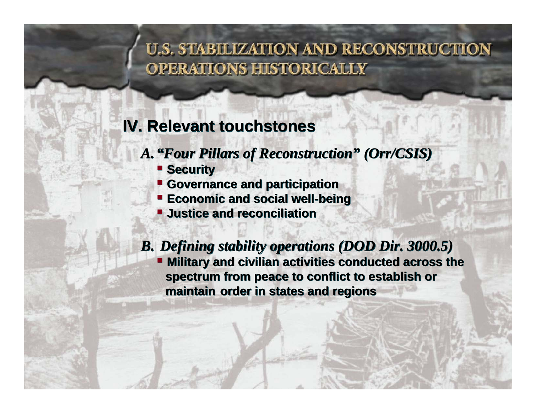# **IV. Relevant touchstones**

## *A."Four Pillars of Reconstruction" (Orr/CSIS) A."Four Pillars of Reconstruction" (Orr/CSIS)*

- **Security Security**
- **Governance and participation Governance and participation**
- **Economic and social well-being Economic and social well-being**
- **Justice and reconciliation Justice and reconciliation**

### *B. Defining stability operations (DOD Dir. 3000.5) B. stability operations (DOD Dir. 3000.5)*

 **Military and civilian activities conducted across the Military and civilian activities conducted across the spectrum from peace to conflict to establish or spectrum from peace to conflict to establish or maintain order in states and regions maintain order in states and regions**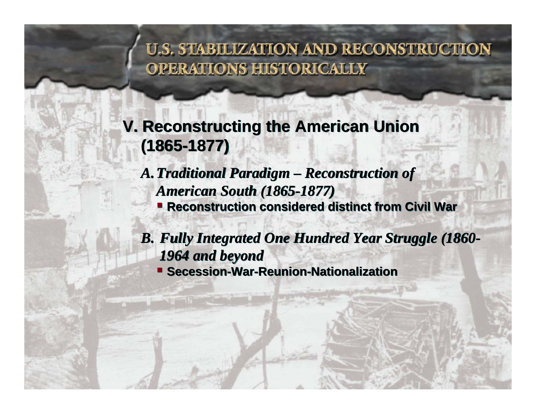# **V. Reconstructing the American Union Reconstructing the American Union (1865-1877) (1865-1877)**

*A.Traditional Paradigm – Reconstruction of A.Traditional Paradigm – Reconstruction of American South (1865-1877) American South (1865-1877)* **Reconstruction considered distinct from Civil War Reconstruction considered distinct from Civil War**

*B. Fully Integrated One Hundred Year Struggle (1860- B. Fully Integrated One Hundred Year Struggle (1860- 1964 and beyond 1964 and beyond***Secession-War-Reunion-Nationalization Secession-War-Reunion-Nationalization**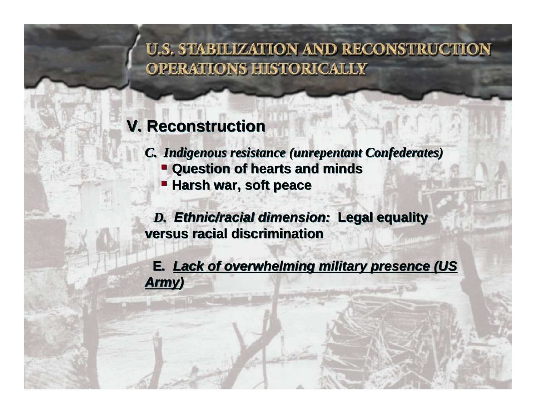# **V. Reconstruction Reconstruction**

*C. Indigenous resistance (unrepentant Confederates) C. Indigenous resistance (unrepentant Confederates)*

- **Question of hearts and minds Question of hearts and minds**
- **Harsh war, soft peace Harsh war, soft peace**

*D. Ethnic/racial dimension:* **Legal equality**  *D. Ethnic/racial dimension:* **Legal equality versus racial discriminationversus racial discrimination**

**E***. Lack of overwhelming military presence (US*  **E***. Lack of overwhelming military presence (US Army)*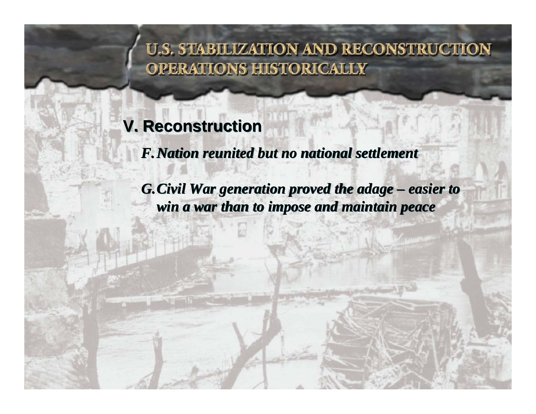# **V. Reconstruction V. Reconstruction**

*F.Nation reunited but no national settlement F.Nation reunited but no national settlement*

*G.Civil War generation proved the adage – easier to G.Civil War generation proved the adage – easier to win a war than to impose and maintain peace win a war than to impose and maintain peace*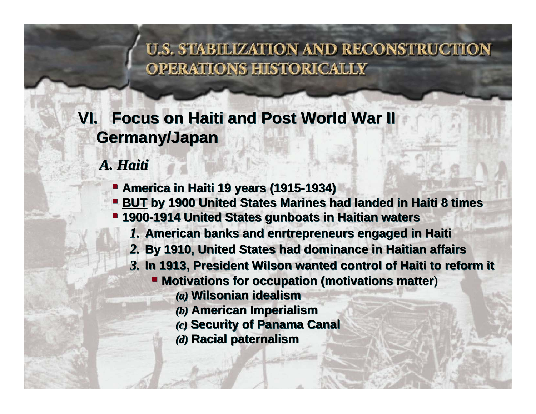# **VI. Focus on Haiti and Post World War II VI. Focus on Haiti and Post World War II Germany/Japan Germany/Japan**

*A. Haiti A. Haiti*

- **America in Haiti 19 years (1915-1934) America in Haiti 19 years (1915-1934)**
- **BUT** by 1900 United States Marines had landed in Haiti 8 times
- **1900-1914 United States gunboats in Haitian waters 1900-1914 United States gunboats in Haitian waters**
	- *1.* **American banks and enrtrepreneurs engaged in Haiti** *1.* **American banks and enrtrepreneurs engaged in Haiti**
	- *2.* **By 1910, United States had dominance in Haitian affairs** *2.* **By 1910, United States had dominance in Haitian affairs**
	- *3.* **In 1913, President Wilson wanted control of Haiti to reform it** *3.* **In 1913, President Wilson wanted control of Haiti to reform it**
		- **Motivations for occupation (motivations matter**) **Motivations for occupation (motivations matter**)
			- *(a)* **Wilsonian idealism** *(a)* **Wilsonian idealism**
			- *(b)* **American Imperialism** *(b)* **American Imperialism**
			- *(c)* **Security of Panama Canal** *(c)* **Security of Panama Canal**
			- *(d)* **Racial paternalism** *(d)* **Racial paternalism**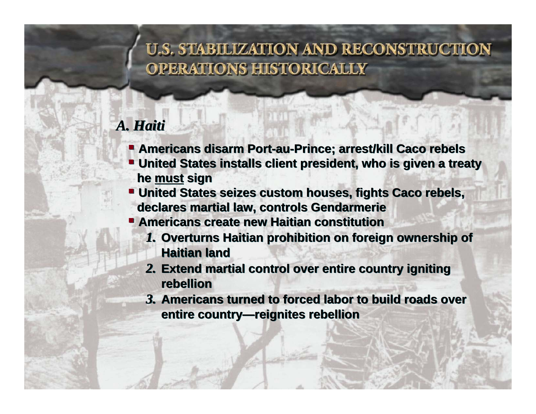## *A. Haiti A. Haiti*

- **Americans disarm Port-au-Prince; arrest/kill Caco rebels Americans disarm Port-au-Prince; arrest/kill Caco rebels**
- **United States installs client president, who is given a treaty United States installs client president, who is given a treaty he must sign he must sign**
- **United States seizes custom houses, fights Caco rebels, United States seizes custom houses, fights Caco rebels, declares martial law, controls Gendarmerie declares martial law, controls Gendarmerie**
- **Americans create new Haitian constitution** 
	- *1.* **Overturns Haitian prohibition on foreign ownership of**  *1.* **Overturns Haitian prohibition on foreign ownership of Haitian landHaitian land**
	- *2.* **Extend martial control over entire country igniting**  *2.* **Extend martial control over entire country igniting rebellionrebellion**
	- *3.* **Americans turned to forced labor to build roads over**  *3.* **Americans turned to forced labor to build roads over entire country—reignites rebellion entire country—reignites rebellion**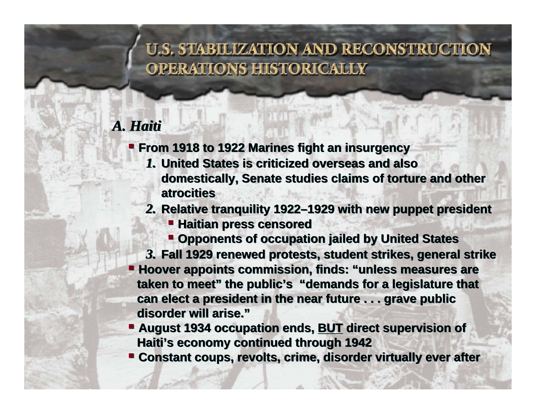### *A. Haiti A. Haiti*

**From 1918 to 1922 Marines fight an insurgency From 1918 to 1922 Marines fight an insurgency**

- *1.* **United States is criticized overseas and also**  *1.* **United States is criticized overseas and also domestically, Senate studies claims of torture and other domestically, Senate studies claims of torture and other atrocitiesatrocities**
- *2.* **Relative tranquility 1922–1929 with new puppet president** *2.* **Relative tranquility 1922–1929 with new puppet president**
	- **Haitian press censored Haitian press censored**
	- **Opponents of occupation jailed by United States Opponents of occupation jailed by United States**

*3.* **Fall 1929 renewed protests, student strikes, general strike** *3.* **Fall 1929 renewed protests, student strikes, general strike Hoover appoints commission, finds: "unless measures are Hoover appoints commission, finds: "unless measures are taken to meet" the public's "demands for a legislature that taken to meet" the public's "demands for a legislature that can elect a president in the near future . . . grave public can elect a president in the near future . . . grave public disorder will arise."disorder will arise."**

- **August 1934 occupation ends, BUT direct supervision of August 1934 occupation ends, BUT direct supervision of Haiti's economy continued through 1942 Haiti's economy continued through 1942**
- **Constant coups, revolts, crime, disorder virtually ever after Constant coups, revolts, crime, disorder virtually ever after**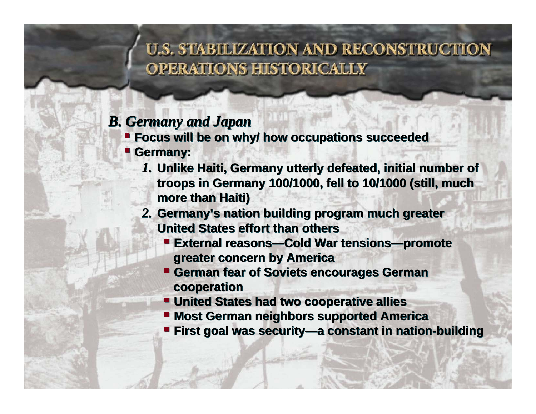### *B. Germany and Japan B. Germany and Japan*

**EXECUS will be on why/ how occupations succeeded** 

#### **Germany: Germany:**

- *1.* **Unlike Haiti, Germany utterly defeated, initial number of**  *1.* **Unlike Haiti, Germany utterly defeated, initial number of troops in Germany 100/1000, fell to 10/1000 (still, much troops in Germany 100/1000, fell to 10/1000 (still, much more than Haiti) more than Haiti)**
- *2.* **Germany's nation building program much greater**  *2.* **Germany's nation building program much greater United States effort than others** 
	- J **External reasons—Cold War tensions—promote External reasons—Cold War tensions—promote greater concern by America greater concern by America**
	- **German fear of Soviets encourages German German fear of Soviets encourages German cooperation cooperation**
	- **United States had two cooperative allies United States had two cooperative allies**
	- **Most German neighbors supported America Most German neighbors supported America**
	- **First goal was security—a constant in nation-building First goal was security—a constant in nation-building**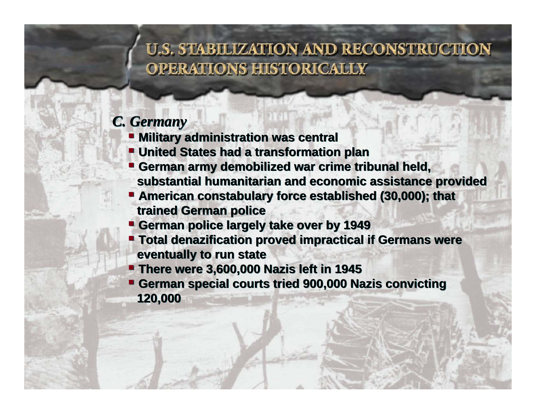#### *C. Germany C. Germany*

- **Military administration was central Military administration was central**
- **United States had a transformation plan United States had a transformation plan**
- **German army demobilized war crime tribunal held, German army demobilized war crime tribunal substantial humanitarian and economic assistance provided substantial humanitarian and economic assistance provided**
- **American constabulary force established (30,000); that American constabulary force established (30,000); that trained German police trained German police**
- **German police largely take over by 1949 German police largely take over by 1949**
- **Total denazification proved impractical if Germans were Total denazification proved impractical if Germans were eventually to run state eventually to run state**
- **There were 3,600,000 Nazis left in 1945 There were 3,600,000 Nazis left in 1945**
- **German special courts tried 900,000 Nazis convicting German special courts tried 900,000 Nazis convicting 120,000 120,000**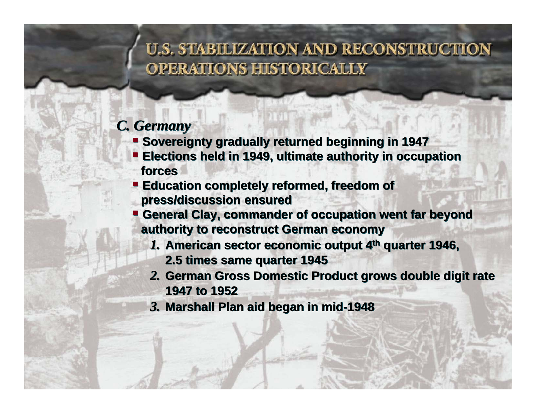#### *C. Germany C. Germany*

- **E** Sovereignty gradually returned beginning in 1947
- **Elections held in 1949, ultimate authority in occupation Elections held in 1949, ultimate authority in occupation forcesforces**
- **Education completely reformed, freedom of Education completely reformed, freedom of press/discussion ensured press/discussion ensured**
- J **General Clay, commander of occupation went far beyond General Clay, commander of occupation went far beyond authority to reconstruct German economy authority to reconstruct German economy**
	- *1.* **American sector economic output 4th quarter 1946,**  *1.* **American sector economic output 4th quarter 1946,** 
		- **2.5 times same quarter 1945 2.5 times same quarter 1945**
	- *2.* **German Gross Domestic Product grows double digit rate**  *2.* **German Gross Domestic Product grows double digit rate 1947 to 19521947 to 1952**
	- *3.* **Marshall Plan aid began in mid-1948** *3.* **Marshall Plan aid began in mid-1948**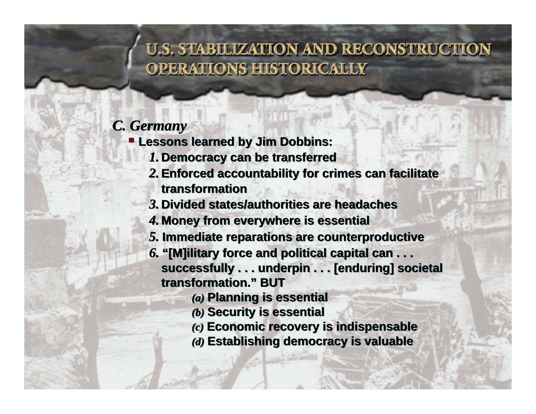#### *C. Germany C. Germany*

**Lessons learned by Jim Dobbins: Lessons learned by Jim Dobbins:**

- *1.* **Democracy can be transferred** *1.* **Democracy can be transferred**
- *2.***Enforced accountability for crimes can facilitate**  *2.***Enforced accountability for crimes can facilitate transformationtransformation**
- *3.* **Divided states/authorities are headaches***3.* **Divided states/authorities are headaches**
- *4.* **Money from everywhere is essential** *4.* **Money from everywhere is essential**
- *5.* **Immediate reparations are counterproductive** *5.* **Immediate reparations are counterproductive**
- *6.* **"[M]ilitary force and political capital can . . . successfully . . . underpin . . . [enduring] societal**  *6.* **"[M]ilitaryforce and political capital can . . . successfully . . . underpin . . . [enduring] societal transformation." BUT transformation." BUT**
	- *(a)* **Planning is essential** *(a)* **Planning is essential**
	- *(b)* **Security is essential** *(b)* **Security is essential**
	- *(c)* **Economic recovery is indispensable** *(c)* **Economic recovery is indispensable**
	- *(d)* **Establishing democracy is valuable** *(d)* **Establishing democracy is valuable**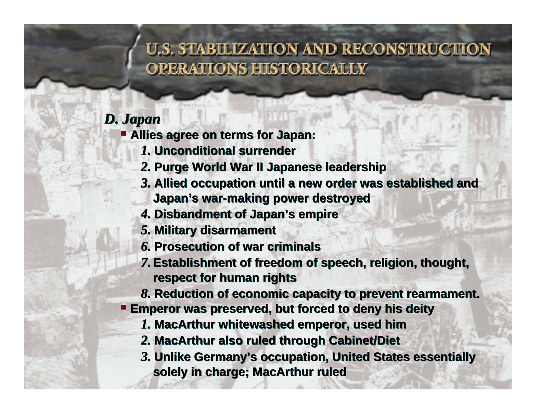### *D. Japan D. Japan*

**Allies agree on terms for Japan: Allies agree on terms for Japan:**

- *1.* **Unconditional surrender***1.* **Unconditional surrender**
- *2.* **Purge World War II Japanese leadership**  *2.* **Purge World War II Japanese leadership**
- *3.* **Allied occupation until a new order was established and**  *3.* **Allied occupation until a new order was established and Japan's war-making power destroyed Japan's war-making power destroyed**
- *4.* **Disbandment of Japan's empire** *4.* **Disbandment of Japan's empire**
- *5.* **Military disarmament** *5.* **Military disarmament**
- *6.* **Prosecution of war criminals***6.* **Prosecution of war criminals**
- *7.***Establishment of freedom of speech, religion, thought,**  *7.***Establishment of freedom of speech, religion, thought, respect for human rights respect for human rights**
- *8.* **Reduction of economic capacity to prevent rearmament.** *8.* **Reduction of economic capacity to prevent rearmament.**
- **Emperor was preserved, but forced to deny his deity Emperor preserved, forced to deny his deity**
	- *1.* **MacArthur whitewashed emperor, used him** *1.* **MacArthur whitewashed emperor, used him**
	- *2.* **MacArthur also ruled through Cabinet/Diet** *2.* **MacArthur also ruled through Cabinet/Diet**
	- *3.* **Unlike Germany's occupation, United States essentially**  *3.* **Unlike Germany's occupation, United States essentially solely in charge; MacArthur ruled solely in charge; MacArthur ruled**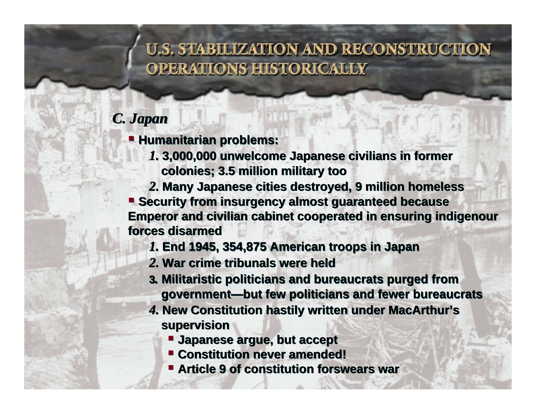### *C. Japan C. Japan*

**Humanitarian problems: Humanitarian problems:**

- *1.* **3,000,000 unwelcome Japanese civilians in former**  *1.* **3,000,000 unwelcome Japanese civilians in former colonies; 3.5 million military too colonies; 3.5 million military too**
- *2.* **Many Japanese cities destroyed, 9 million homeless** *2.* **Many Japanese cities destroyed, 9 million homeless**

 **Security from insurgency almost guaranteed because Emperor and civilian cabinet cooperated in ensuring indigenour Security from insurgency almost guaranteed Emperor and civilian cabinet cooperated in ensuring indigenour forces disarmedforces disarmed**

- *1.* **End 1945, 354,875 American troops in Japan** *1.* **End 1945, 354,875 American troops in Japan**
- *2.* **War crime tribunals were held***2.* **War crime tribunals were held**
- **<sup>3</sup>***.* **Militaristic politicians and bureaucrats purged from <sup>3</sup>***.* **Militaristic politicians and bureaucrats purged from government—but few politicians and fewer bureaucrats government—but few politicians and fewer bureaucrats**
- *4.* **New Constitution hastily written under MacArthur's**  *4.* **New Constitution hastily written under MacArthur's supervision supervision** 
	- **Japanese argue, but accept Japanese argue, but accept**
	- **Constitution never amended! Constitution never amended!**
	- **Article 9 of constitution forswears war Article 9 of constitution forswears war**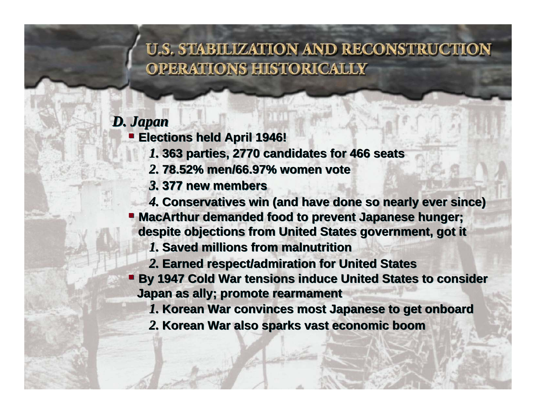#### *D. Japan D. Japan*

 $\blacksquare$  **Elections held April 1946!** 

- *1.* **363 parties, 2770 candidates for 466 seats** *1.* **363 parties, 2770 candidates for 466 seats**
- *2.* **78.52% men/66.97% women vote***2.* **78.52% men/66.97% women vote**
- *3.* **377 new members***3.* **377 new members**

*4.* **Conservatives win (and have done so nearly ever since)** *4.* **Conservatives win (and have done so nearly ever since) MacArthur demanded food to prevent Japanese hunger; MacArthur demanded food to prevent Japanese hunger;** 

**despite objections from United States government, got it despite objections from United States government, got it**

- *1.* **Saved millions from malnutrition***1.* **Saved millions from malnutrition**
- *2.* **Earned respect/admiration for United States** *2.* **Earned respect/admiration for United States**
- **By 1947 Cold War tensions induce United States to consider Japan as ally; promote rearmament Japan as ally; promote rearmament**
	- *1.* **Korean War convinces most Japanese to get onboard** *1.* **Korean War convinces most Japanese to get onboard**
	- *2.* **Korean War also sparks vast economic boom** *2.* **Korean War also sparks vast economic boom**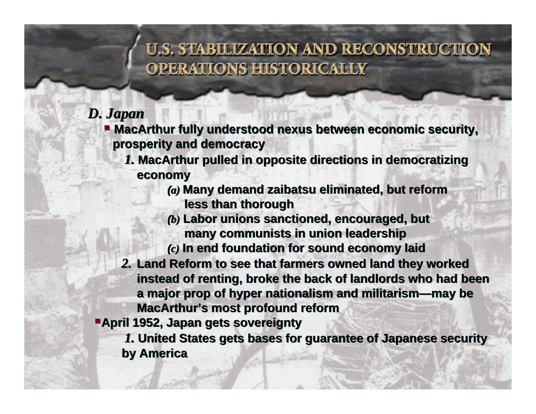#### *D. Japan D. Japan*

- **MacArthur fully understood nexus between economic security, MacArthur fully understood nexus between economic security, prosperity and democracy prosperity and democracy**
	- *1.* **MacArthur pulled in opposite directions in democratizing**  *1.* **MacArthur pulled in opposite directions in democratizing economy economy**
		- *(a)* **Many demand zaibatsu eliminated, but reform**  *(a)* **Many demand zaibatsu eliminated, but reform less than thorough less than thorough**
		- *(b)* **Labor unions sanctioned, encouraged, but**  *(b)* **Labor unions sanctioned, encouraged, many communists in union leadership many communists in union leadership**
		- *(c)* **In end foundation for sound economy laid** *(c)* **In end foundation for sound economy laid**
	- *2.* **Land Reform to see that farmers owned land they worked**  *2.* **Land Reform to see that farmers owned land they worked instead of renting, broke the back of landlords who had been instead of renting, broke the back of landlords who had been a major prop of hyper nationalism and militarism—may be a major prop of hyper nationalism and militarism—may be MacArthur's most profound reform MacArthur's most profound reform**
- **April 1952, Japan gets sovereignty April 1952, Japan gets sovereignty**

*1.* **United States gets bases for guarantee of Japanese security**  *1.* **United States gets bases for guarantee of Japanese security by America by America**